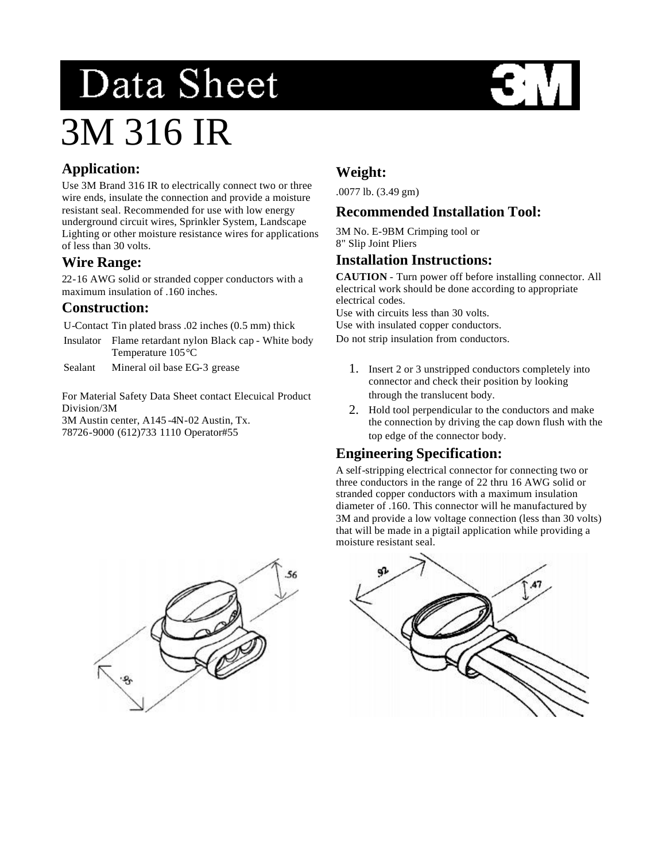# Data Sheet 3M 316 IR

# **Application:**

Use 3M Brand 316 IR to electrically connect two or three wire ends, insulate the connection and provide a moisture resistant seal. Recommended for use with low energy underground circuit wires, Sprinkler System, Landscape Lighting or other moisture resistance wires for applications of less than 30 volts.

# **Wire Range:**

22-16 AWG solid or stranded copper conductors with a maximum insulation of .160 inches.

#### **Construction:**

U-Contact Tin plated brass .02 inches (0.5 mm) thick

- Insulator Flame retardant nylon Black cap White body Temperature 105°C
- Sealant Mineral oil base EG-3 grease

For Material Safety Data Sheet contact Elecuical Product Division/3M

3M Austin center, A145 -4N-02 Austin, Tx. 78726-9000 (612)733 1110 Operator#55

# **Weight:**

.0077 lb. (3.49 gm)

#### **Recommended Installation Tool:**

3M No. E-9BM Crimping tool or 8" Slip Joint Pliers

### **Installation Instructions:**

**CAUTION** - Turn power off before installing connector. All electrical work should be done according to appropriate electrical codes.

Use with circuits less than 30 volts.

Use with insulated copper conductors.

Do not strip insulation from conductors.

- 1. Insert 2 or 3 unstripped conductors completely into connector and check their position by looking through the translucent body.
- 2. Hold tool perpendicular to the conductors and make the connection by driving the cap down flush with the top edge of the connector body.

## **Engineering Specification:**

A self-stripping electrical connector for connecting two or three conductors in the range of 22 thru 16 AWG solid or stranded copper conductors with a maximum insulation diameter of .160. This connector will he manufactured by 3M and provide a low voltage connection (less than 30 volts) that will be made in a pigtail application while providing a moisture resistant seal.